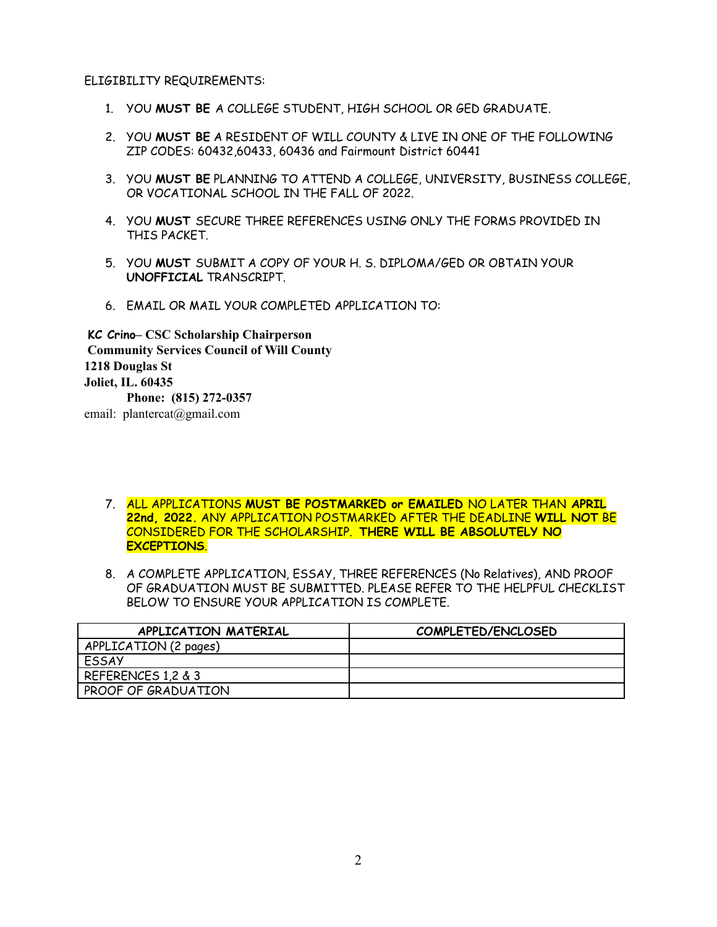ELIGIBILITY REQUIREMENTS:

- 1. YOU **MUST BE** A COLLEGE STUDENT, HIGH SCHOOL OR GED GRADUATE.
- 2. YOU **MUST BE** A RESIDENT OF WILL COUNTY & LIVE IN ONE OF THE FOLLOWING ZIP CODES: 60432,60433, 60436 and Fairmount District 60441
- 3. YOU **MUST BE** PLANNING TO ATTEND A COLLEGE, UNIVERSITY, BUSINESS COLLEGE, OR VOCATIONAL SCHOOL IN THE FALL OF 2022.
- 4. YOU **MUST** SECURE THREE REFERENCES USING ONLY THE FORMS PROVIDED IN THIS PACKET.
- 5. YOU **MUST** SUBMIT A COPY OF YOUR H. S. DIPLOMA/GED OR OBTAIN YOUR **UNOFFICIAL** TRANSCRIPT.
- 6. EMAIL OR MAIL YOUR COMPLETED APPLICATION TO:

**KC Crino– CSC Scholarship Chairperson Community Services Council of Will County 1218 Douglas St Joliet, IL. 60435 Phone: (815) 272-0357** email: plantercat@gmail.com

7. ALL APPLICATIONS **MUST BE POSTMARKED or EMAILED** NO LATER THAN **APRIL 22nd, 2022.** ANY APPLICATION POSTMARKED AFTER THE DEADLINE **WILL NOT** BE CONSIDERED FOR THE SCHOLARSHIP. **THERE WILL BE ABSOLUTELY NO EXCEPTIONS**.

8. A COMPLETE APPLICATION, ESSAY, THREE REFERENCES (No Relatives), AND PROOF OF GRADUATION MUST BE SUBMITTED. PLEASE REFER TO THE HELPFUL CHECKLIST BELOW TO ENSURE YOUR APPLICATION IS COMPLETE.

| APPLICATION MATERIAL  | COMPLETED/ENCLOSED |
|-----------------------|--------------------|
| APPLICATION (2 pages) |                    |
| <b>ESSAY</b>          |                    |
| REFERENCES 1,2 & 3    |                    |
| PROOF OF GRADUATION   |                    |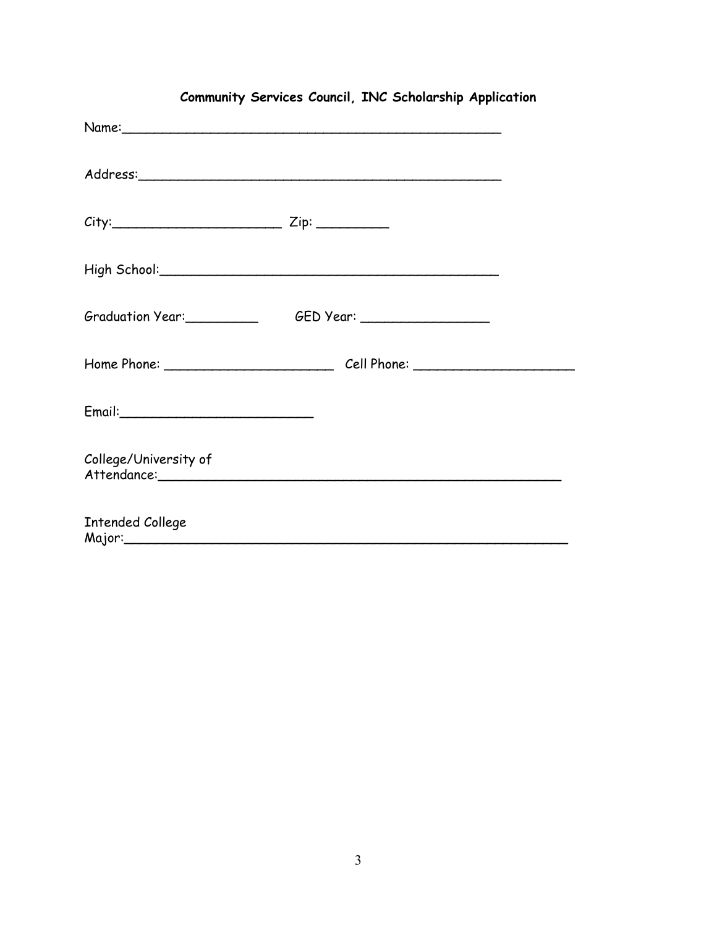| $City:$ $Zip:$ $Zip:$   |                                       |  |
|-------------------------|---------------------------------------|--|
|                         |                                       |  |
|                         | Graduation Year: GED Year: CHED Year: |  |
|                         |                                       |  |
|                         |                                       |  |
| College/University of   |                                       |  |
| <b>Intended College</b> |                                       |  |

## **Community Services Council, INC Scholarship Application**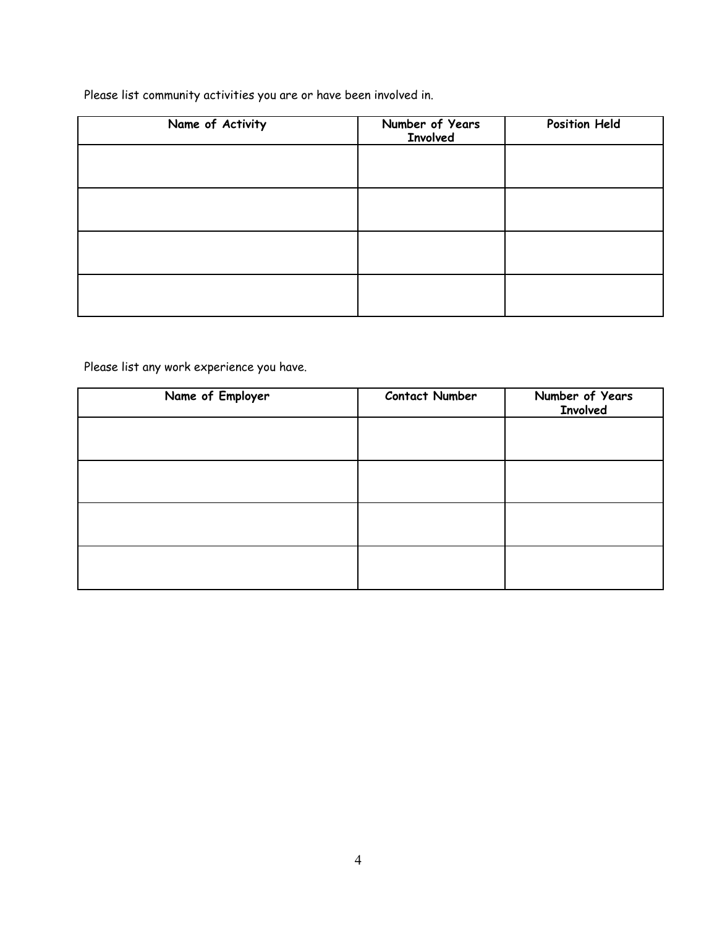Please list community activities you are or have been involved in.

| Name of Activity | Number of Years<br><b>Involved</b> | <b>Position Held</b> |
|------------------|------------------------------------|----------------------|
|                  |                                    |                      |
|                  |                                    |                      |
|                  |                                    |                      |
|                  |                                    |                      |

Please list any work experience you have.

| Name of Employer | <b>Contact Number</b> | Number of Years<br><b>Involved</b> |
|------------------|-----------------------|------------------------------------|
|                  |                       |                                    |
|                  |                       |                                    |
|                  |                       |                                    |
|                  |                       |                                    |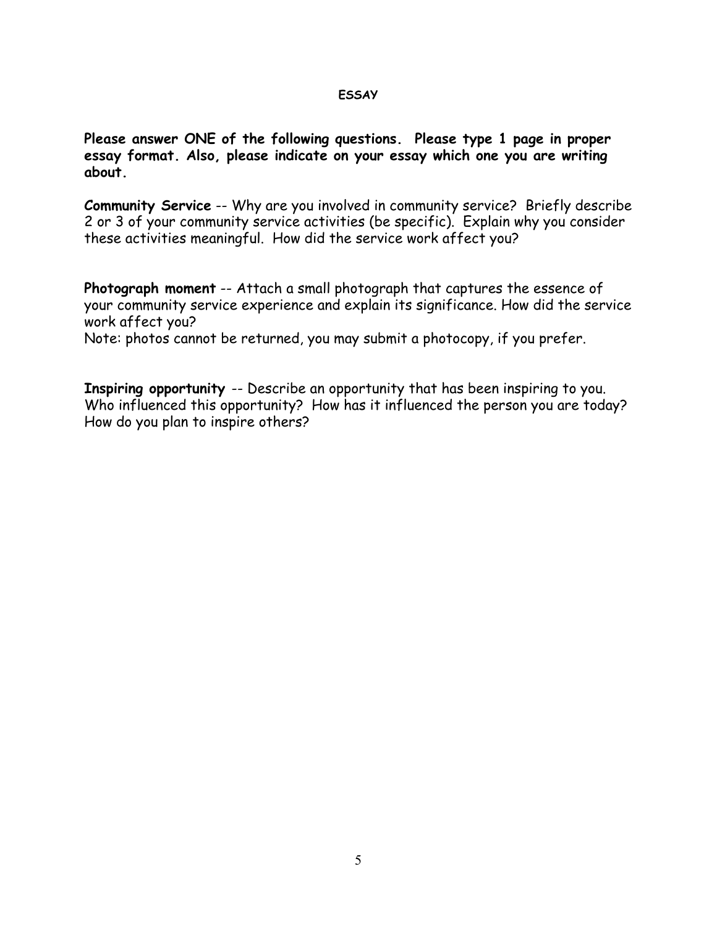## **ESSAY**

**Please answer ONE of the following questions. Please type 1 page in proper essay format. Also, please indicate on your essay which one you are writing about.**

**Community Service** -- Why are you involved in community service? Briefly describe 2 or 3 of your community service activities (be specific). Explain why you consider these activities meaningful. How did the service work affect you?

**Photograph moment** -- Attach a small photograph that captures the essence of your community service experience and explain its significance. How did the service work affect you?

Note: photos cannot be returned, you may submit a photocopy, if you prefer.

**Inspiring opportunity** -- Describe an opportunity that has been inspiring to you. Who influenced this opportunity? How has it influenced the person you are today? How do you plan to inspire others?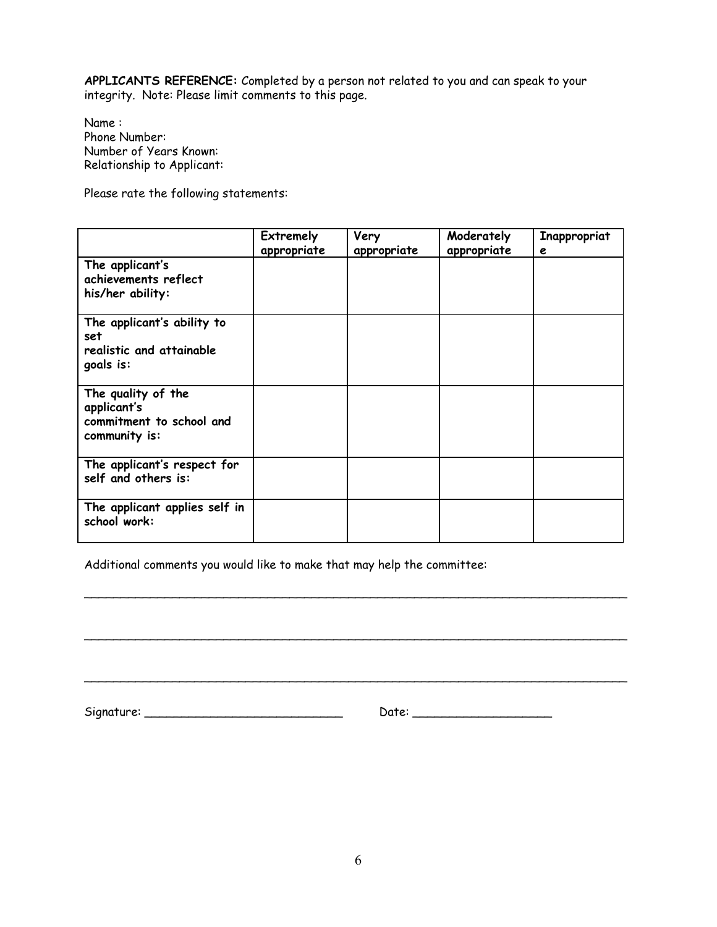**APPLICANTS REFERENCE:** Completed by a person not related to you and can speak to your integrity. Note: Please limit comments to this page.

Name : Phone Number: Number of Years Known: Relationship to Applicant:

Please rate the following statements:

|                                                                                | <b>Extremely</b><br>appropriate | Very<br>appropriate | Moderately<br>appropriate | Inappropriat<br>e |
|--------------------------------------------------------------------------------|---------------------------------|---------------------|---------------------------|-------------------|
| The applicant's<br>achievements reflect<br>his/her ability:                    |                                 |                     |                           |                   |
| The applicant's ability to<br>set<br>realistic and attainable<br>goals is:     |                                 |                     |                           |                   |
| The quality of the<br>applicant's<br>commitment to school and<br>community is: |                                 |                     |                           |                   |
| The applicant's respect for<br>self and others is:                             |                                 |                     |                           |                   |
| The applicant applies self in<br>school work:                                  |                                 |                     |                           |                   |

\_\_\_\_\_\_\_\_\_\_\_\_\_\_\_\_\_\_\_\_\_\_\_\_\_\_\_\_\_\_\_\_\_\_\_\_\_\_\_\_\_\_\_\_\_\_\_\_\_\_\_\_\_\_\_\_\_\_\_\_\_\_\_\_\_\_\_\_\_\_\_\_\_\_

\_\_\_\_\_\_\_\_\_\_\_\_\_\_\_\_\_\_\_\_\_\_\_\_\_\_\_\_\_\_\_\_\_\_\_\_\_\_\_\_\_\_\_\_\_\_\_\_\_\_\_\_\_\_\_\_\_\_\_\_\_\_\_\_\_\_\_\_\_\_\_\_\_\_

\_\_\_\_\_\_\_\_\_\_\_\_\_\_\_\_\_\_\_\_\_\_\_\_\_\_\_\_\_\_\_\_\_\_\_\_\_\_\_\_\_\_\_\_\_\_\_\_\_\_\_\_\_\_\_\_\_\_\_\_\_\_\_\_\_\_\_\_\_\_\_\_\_\_

Additional comments you would like to make that may help the committee:

Signature: \_\_\_\_\_\_\_\_\_\_\_\_\_\_\_\_\_\_\_\_\_\_\_\_\_\_\_ Date: \_\_\_\_\_\_\_\_\_\_\_\_\_\_\_\_\_\_\_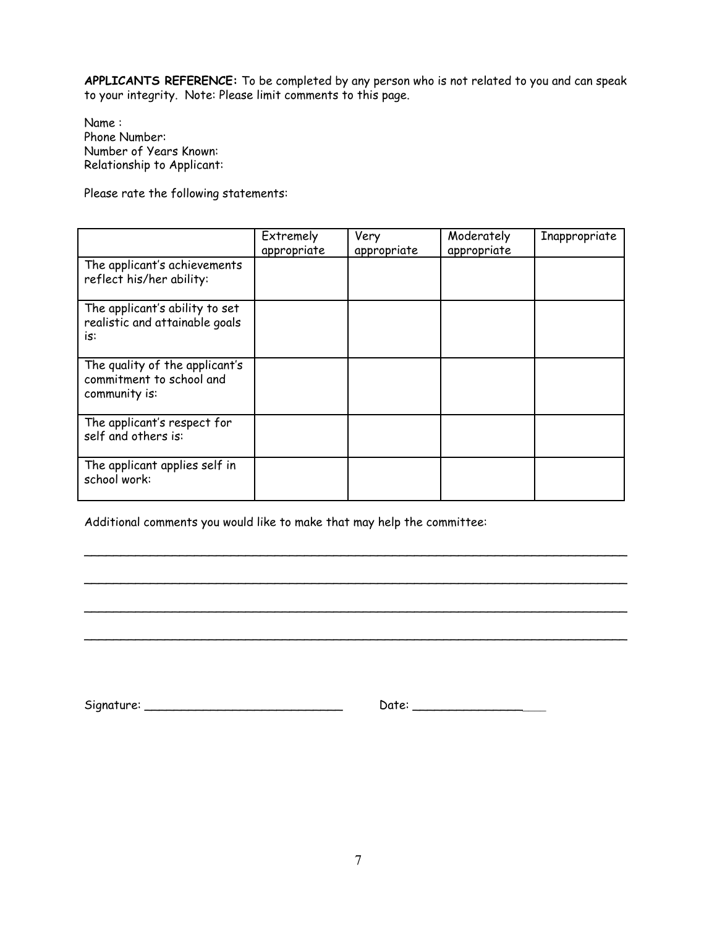**APPLICANTS REFERENCE:** To be completed by any person who is not related to you and can speak to your integrity. Note: Please limit comments to this page.

Name : Phone Number: Number of Years Known: Relationship to Applicant:

Please rate the following statements:

|                                                                             | Extremely<br>appropriate | Very<br>appropriate | Moderately<br>appropriate | Inappropriate |
|-----------------------------------------------------------------------------|--------------------------|---------------------|---------------------------|---------------|
| The applicant's achievements<br>reflect his/her ability:                    |                          |                     |                           |               |
| The applicant's ability to set<br>realistic and attainable goals<br>is:     |                          |                     |                           |               |
| The quality of the applicant's<br>commitment to school and<br>community is: |                          |                     |                           |               |
| The applicant's respect for<br>self and others is:                          |                          |                     |                           |               |
| The applicant applies self in<br>school work:                               |                          |                     |                           |               |

\_\_\_\_\_\_\_\_\_\_\_\_\_\_\_\_\_\_\_\_\_\_\_\_\_\_\_\_\_\_\_\_\_\_\_\_\_\_\_\_\_\_\_\_\_\_\_\_\_\_\_\_\_\_\_\_\_\_\_\_\_\_\_\_\_\_\_\_\_\_\_\_\_\_

\_\_\_\_\_\_\_\_\_\_\_\_\_\_\_\_\_\_\_\_\_\_\_\_\_\_\_\_\_\_\_\_\_\_\_\_\_\_\_\_\_\_\_\_\_\_\_\_\_\_\_\_\_\_\_\_\_\_\_\_\_\_\_\_\_\_\_\_\_\_\_\_\_\_

\_\_\_\_\_\_\_\_\_\_\_\_\_\_\_\_\_\_\_\_\_\_\_\_\_\_\_\_\_\_\_\_\_\_\_\_\_\_\_\_\_\_\_\_\_\_\_\_\_\_\_\_\_\_\_\_\_\_\_\_\_\_\_\_\_\_\_\_\_\_\_\_\_\_

\_\_\_\_\_\_\_\_\_\_\_\_\_\_\_\_\_\_\_\_\_\_\_\_\_\_\_\_\_\_\_\_\_\_\_\_\_\_\_\_\_\_\_\_\_\_\_\_\_\_\_\_\_\_\_\_\_\_\_\_\_\_\_\_\_\_\_\_\_\_\_\_\_\_

Additional comments you would like to make that may help the committee:

| $\overline{\phantom{a}}$<br>Signature: | . into: |
|----------------------------------------|---------|
|----------------------------------------|---------|